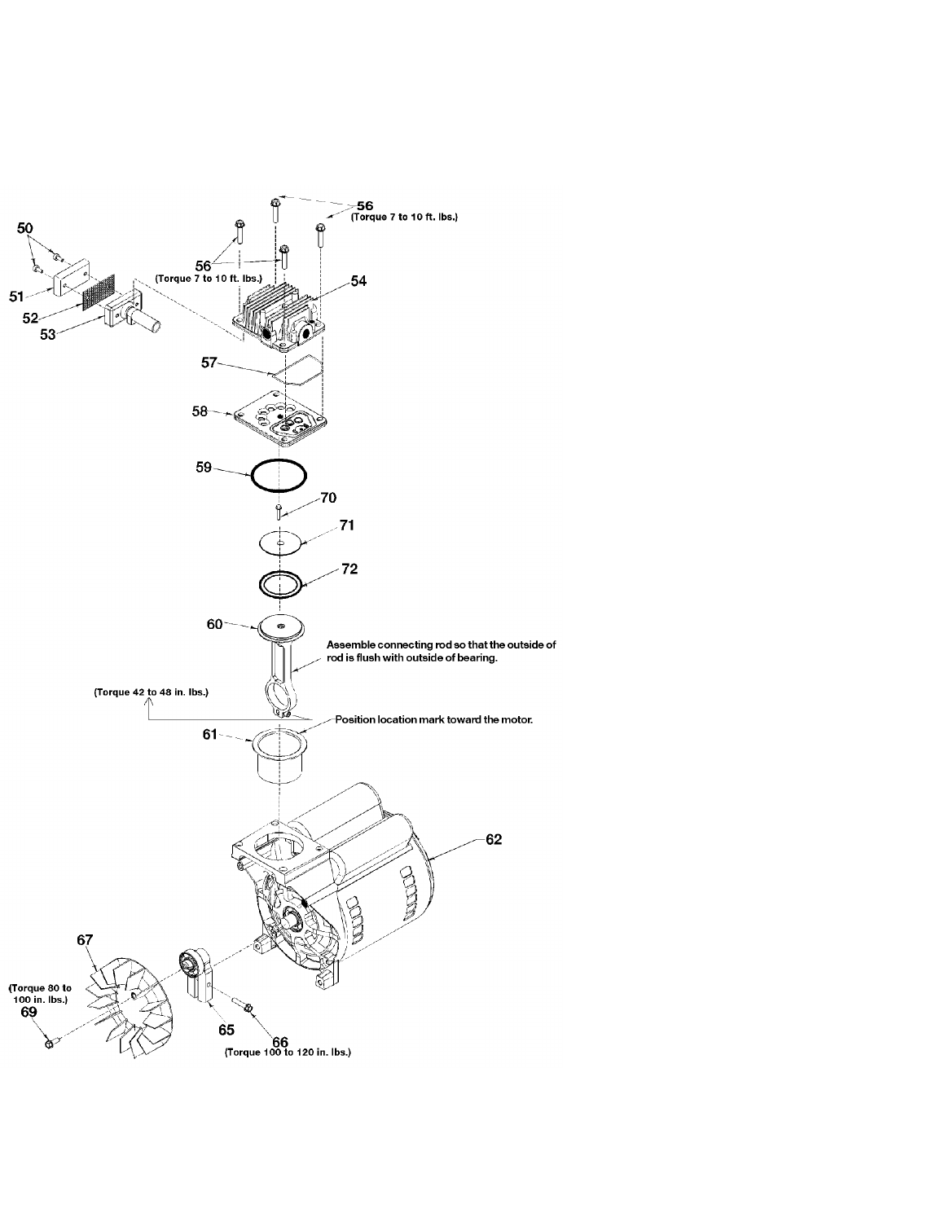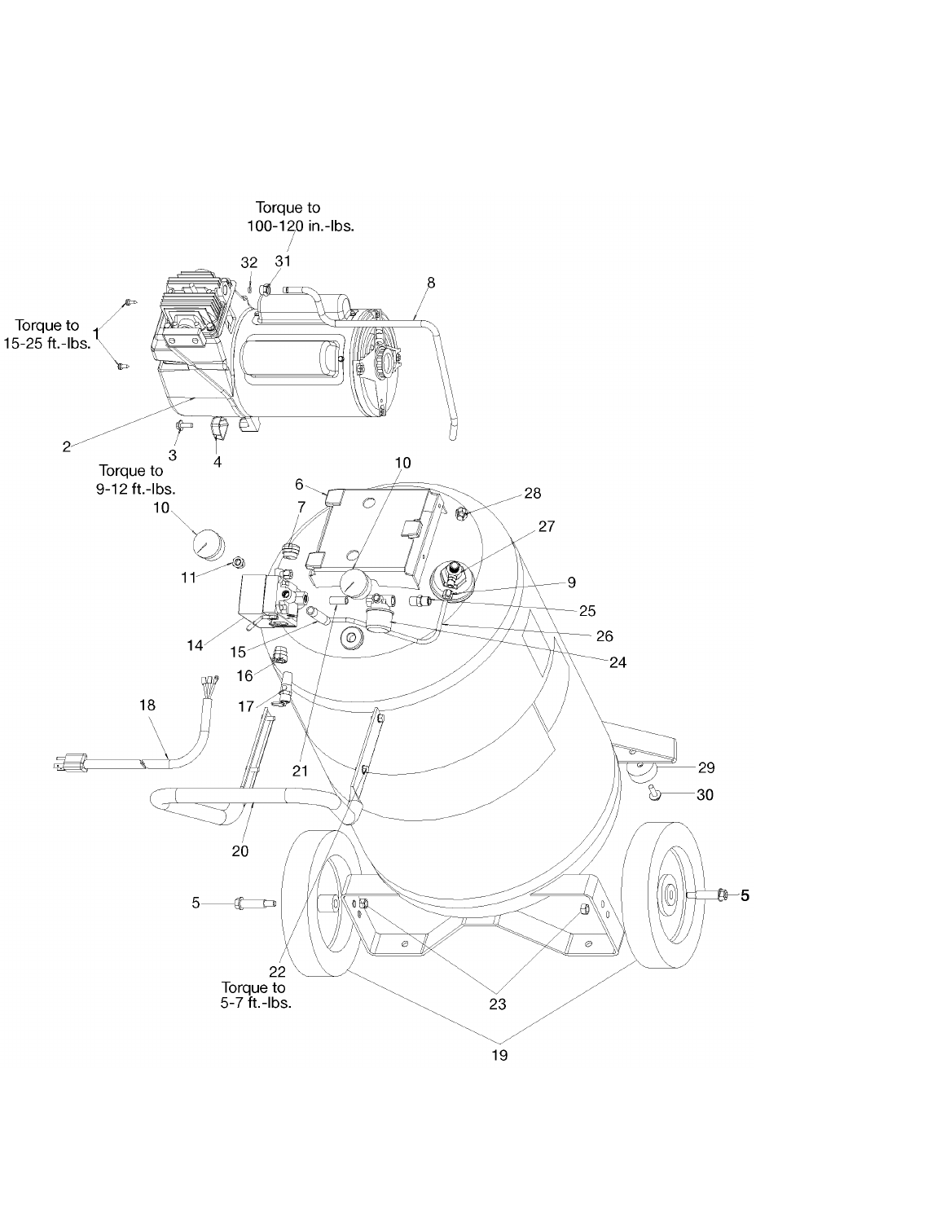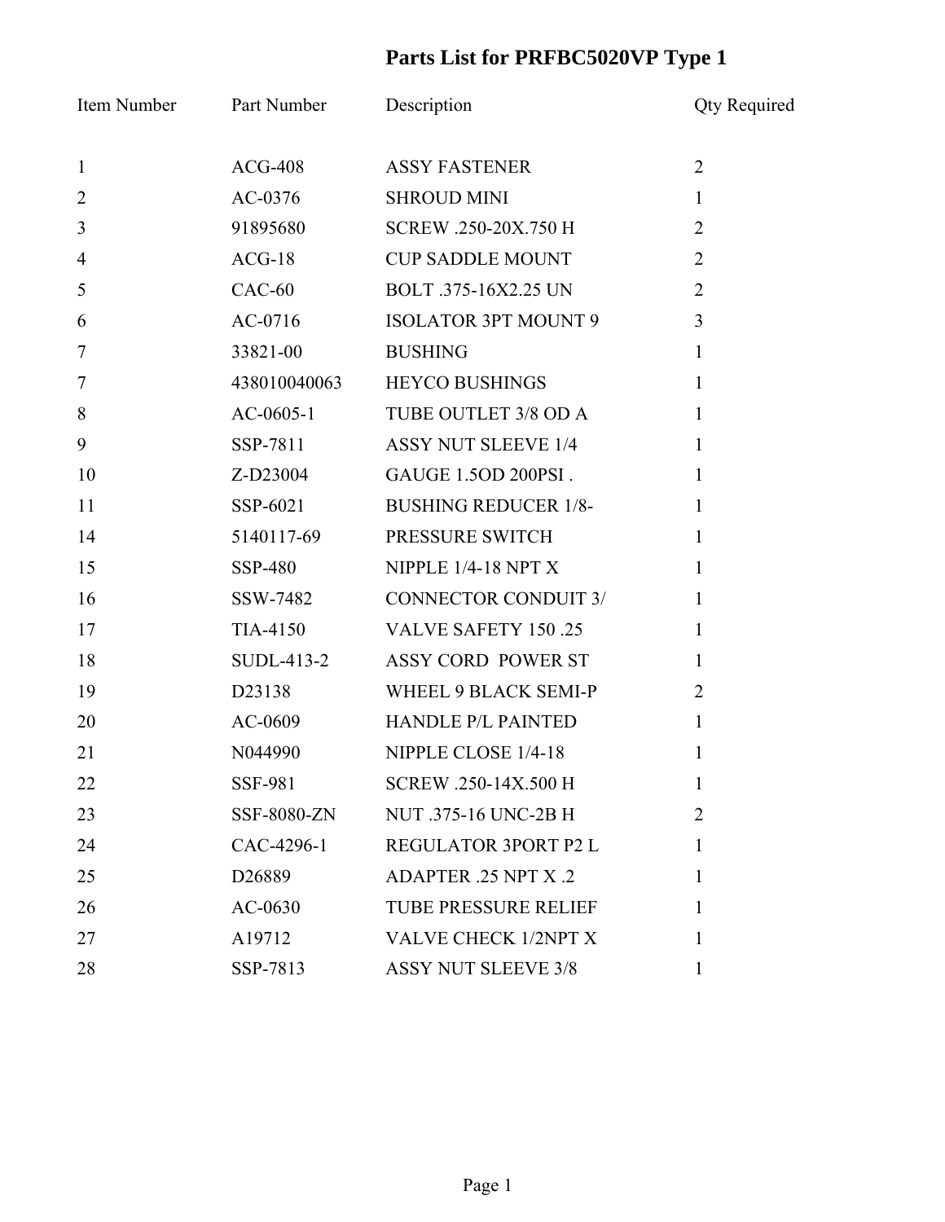## **Parts List for PRFBC5020VP Type 1**

| Item Number      | <b>Part Number</b> | Description                 | <b>Qty Required</b> |
|------------------|--------------------|-----------------------------|---------------------|
| $\mathbf{1}$     | $ACG-408$          | <b>ASSY FASTENER</b>        | $\overline{2}$      |
| $\overline{2}$   | AC-0376            | <b>SHROUD MINI</b>          | $\mathbf{1}$        |
| 3                | 91895680           | SCREW .250-20X.750 H        | $\overline{2}$      |
| 4                | $ACG-18$           | <b>CUP SADDLE MOUNT</b>     | $\overline{2}$      |
| 5                | $CAC-60$           | BOLT .375-16X2.25 UN        | $\overline{2}$      |
| 6                | $AC-0716$          | <b>ISOLATOR 3PT MOUNT 9</b> | 3                   |
| $\boldsymbol{7}$ | 33821-00           | <b>BUSHING</b>              | $\mathbf{1}$        |
| $\overline{7}$   | 438010040063       | <b>HEYCO BUSHINGS</b>       | $\mathbf{1}$        |
| 8                | $AC-0605-1$        | TUBE OUTLET 3/8 OD A        | $\mathbf{1}$        |
| 9                | SSP-7811           | <b>ASSY NUT SLEEVE 1/4</b>  | $\mathbf{1}$        |
| 10               | Z-D23004           | GAUGE 1.5OD 200PSI.         | $\mathbf{1}$        |
| 11               | SSP-6021           | <b>BUSHING REDUCER 1/8-</b> | $\mathbf{1}$        |
| 14               | 5140117-69         | PRESSURE SWITCH             | $\mathbf{1}$        |
| 15               | SSP-480            | NIPPLE $1/4-18$ NPT X       | $\mathbf{1}$        |
| 16               | SSW-7482           | <b>CONNECTOR CONDUIT 3/</b> | $\mathbf{1}$        |
| 17               | TIA-4150           | <b>VALVE SAFETY 150.25</b>  | $\mathbf{1}$        |
| 18               | SUDL-413-2         | ASSY CORD POWER ST          | $\mathbf{1}$        |
| 19               | D23138             | WHEEL 9 BLACK SEMI-P        | $\overline{2}$      |
| 20               | AC-0609            | <b>HANDLE P/L PAINTED</b>   | $\mathbf{1}$        |
| 21               | N044990            | NIPPLE CLOSE 1/4-18         | 1                   |
| 22               | <b>SSF-981</b>     | SCREW .250-14X.500 H        | 1                   |
| 23               | SSF-8080-ZN        | NUT .375-16 UNC-2B H        | $\overline{2}$      |
| 24               | CAC-4296-1         | REGULATOR 3PORT P2 L        | $\mathbf{1}$        |
| 25               | D <sub>26889</sub> | <b>ADAPTER .25 NPT X .2</b> | 1                   |
| 26               | $AC-0630$          | <b>TUBE PRESSURE RELIEF</b> | $\mathbf{1}$        |
| 27               | A19712             | <b>VALVE CHECK 1/2NPT X</b> | 1                   |
| 28               | SSP-7813           | <b>ASSY NUT SLEEVE 3/8</b>  | $\mathbf{1}$        |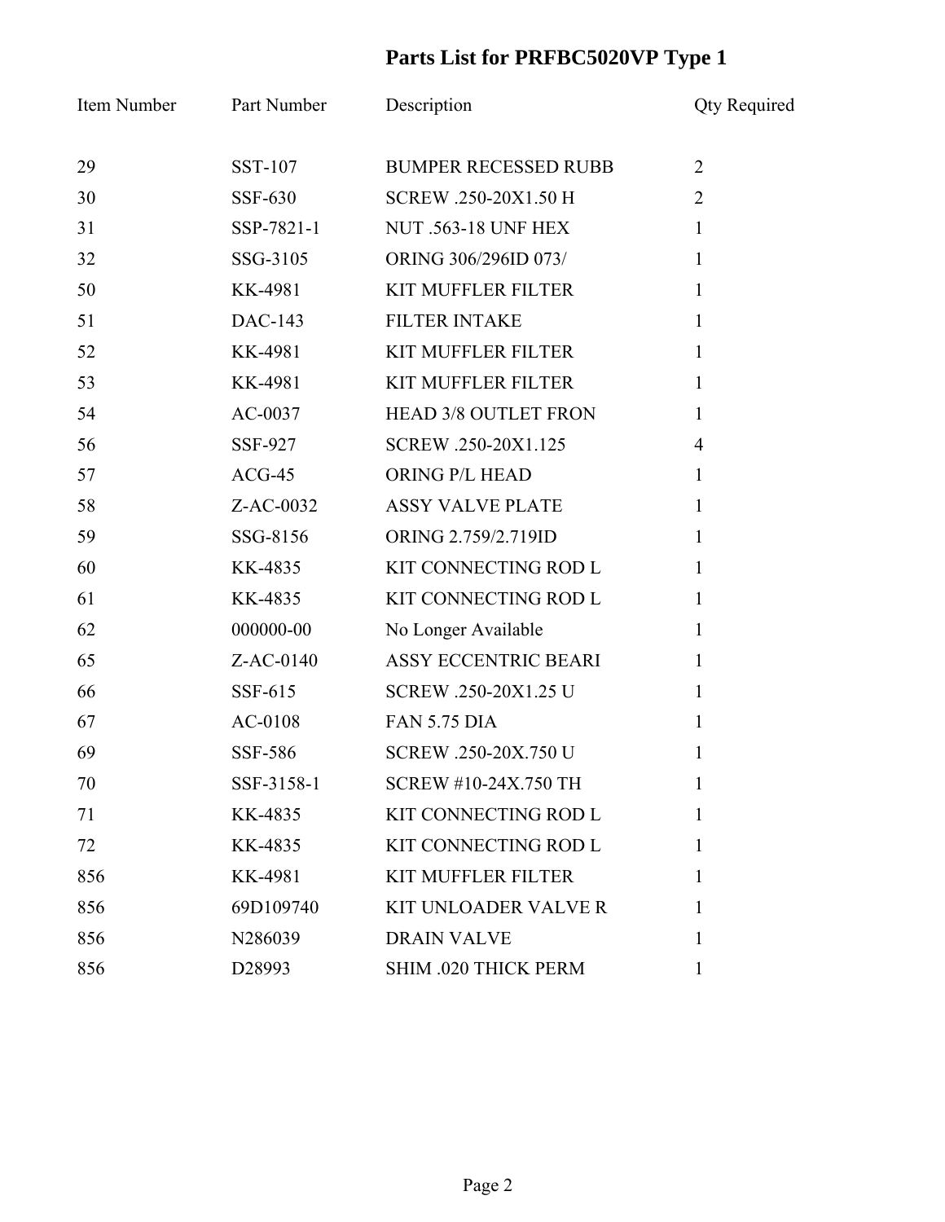## **Parts List for PRFBC5020VP Type 1**

| Item Number | Part Number    | Description                 | <b>Qty Required</b> |
|-------------|----------------|-----------------------------|---------------------|
| 29          | SST-107        | <b>BUMPER RECESSED RUBB</b> | $\overline{2}$      |
| 30          | <b>SSF-630</b> | SCREW .250-20X1.50 H        | $\overline{2}$      |
| 31          | SSP-7821-1     | <b>NUT .563-18 UNF HEX</b>  | $\mathbf{1}$        |
| 32          | SSG-3105       | ORING 306/296ID 073/        | $\mathbf{1}$        |
| 50          | KK-4981        | <b>KIT MUFFLER FILTER</b>   | $\mathbf{1}$        |
| 51          | DAC-143        | <b>FILTER INTAKE</b>        | 1                   |
| 52          | KK-4981        | <b>KIT MUFFLER FILTER</b>   | $\mathbf{1}$        |
| 53          | KK-4981        | <b>KIT MUFFLER FILTER</b>   | $\mathbf{1}$        |
| 54          | $AC-0037$      | <b>HEAD 3/8 OUTLET FRON</b> | $\mathbf{1}$        |
| 56          | SSF-927        | SCREW .250-20X1.125         | $\overline{4}$      |
| 57          | $ACG-45$       | ORING P/L HEAD              | $\mathbf{1}$        |
| 58          | Z-AC-0032      | <b>ASSY VALVE PLATE</b>     | $\mathbf{1}$        |
| 59          | SSG-8156       | ORING 2.759/2.719ID         | $\mathbf{1}$        |
| 60          | KK-4835        | KIT CONNECTING ROD L        | $\mathbf{1}$        |
| 61          | KK-4835        | KIT CONNECTING ROD L        | $\mathbf{1}$        |
| 62          | 000000-00      | No Longer Available         | $\mathbf{1}$        |
| 65          | $Z$ -AC-0140   | <b>ASSY ECCENTRIC BEARI</b> | $\mathbf{1}$        |
| 66          | SSF-615        | SCREW .250-20X1.25 U        | $\mathbf{1}$        |
| 67          | AC-0108        | <b>FAN 5.75 DIA</b>         | $\mathbf{1}$        |
| 69          | SSF-586        | SCREW .250-20X.750 U        | 1                   |
| 70          | SSF-3158-1     | SCREW #10-24X.750 TH        |                     |
| 71          | KK-4835        | KIT CONNECTING ROD L        | $\mathbf{1}$        |
| 72          | KK-4835        | KIT CONNECTING ROD L        | 1                   |
| 856         | KK-4981        | <b>KIT MUFFLER FILTER</b>   | 1                   |
| 856         | 69D109740      | <b>KIT UNLOADER VALVE R</b> | 1                   |
| 856         | N286039        | <b>DRAIN VALVE</b>          | 1                   |
| 856         | D28993         | SHIM .020 THICK PERM        | 1                   |